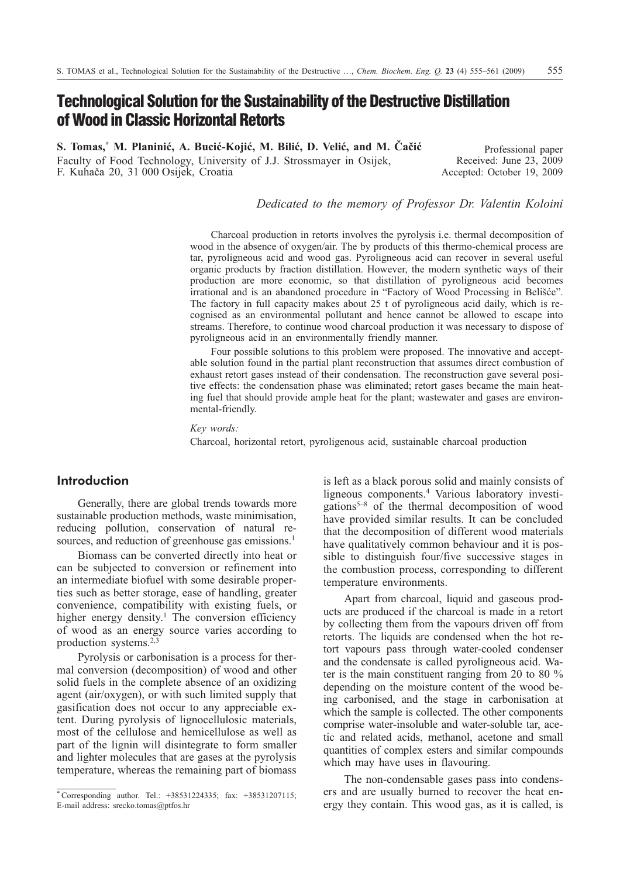# **Technological Solution for the Sustainability of the Destructive Distillation of Wood in Classic Horizontal Retorts**

**S. Tomas,\* M. Planiniæ, A. Buciæ-Kojiæ, M. Biliæ, D. Veliæ, and M. Èaèiæ** Faculty of Food Technology, University of J.J. Strossmayer in Osijek, F. Kuhaèa 20, 31 000 Osijek, Croatia

Professional paper Received: June 23, 2009 Accepted: October 19, 2009

## *Dedicated to the memory of Professor Dr. Valentin Koloini*

Charcoal production in retorts involves the pyrolysis i.e. thermal decomposition of wood in the absence of oxygen/air. The by products of this thermo-chemical process are tar, pyroligneous acid and wood gas. Pyroligneous acid can recover in several useful organic products by fraction distillation. However, the modern synthetic ways of their production are more economic, so that distillation of pyroligneous acid becomes irrational and is an abandoned procedure in "Factory of Wood Processing in Belišće". The factory in full capacity makes about 25 t of pyroligneous acid daily, which is recognised as an environmental pollutant and hence cannot be allowed to escape into streams. Therefore, to continue wood charcoal production it was necessary to dispose of pyroligneous acid in an environmentally friendly manner.

Four possible solutions to this problem were proposed. The innovative and acceptable solution found in the partial plant reconstruction that assumes direct combustion of exhaust retort gases instead of their condensation. The reconstruction gave several positive effects: the condensation phase was eliminated; retort gases became the main heating fuel that should provide ample heat for the plant; wastewater and gases are environmental-friendly.

*Key words:*

Charcoal, horizontal retort, pyroligenous acid, sustainable charcoal production

# **Introduction**

Generally, there are global trends towards more sustainable production methods, waste minimisation, reducing pollution, conservation of natural resources, and reduction of greenhouse gas emissions.<sup>1</sup>

Biomass can be converted directly into heat or can be subjected to conversion or refinement into an intermediate biofuel with some desirable properties such as better storage, ease of handling, greater convenience, compatibility with existing fuels, or higher energy density.<sup>1</sup> The conversion efficiency of wood as an energy source varies according to production systems.2,3

Pyrolysis or carbonisation is a process for thermal conversion (decomposition) of wood and other solid fuels in the complete absence of an oxidizing agent (air/oxygen), or with such limited supply that gasification does not occur to any appreciable extent. During pyrolysis of lignocellulosic materials, most of the cellulose and hemicellulose as well as part of the lignin will disintegrate to form smaller and lighter molecules that are gases at the pyrolysis temperature, whereas the remaining part of biomass

is left as a black porous solid and mainly consists of ligneous components.<sup>4</sup> Various laboratory investigations5–8 of the thermal decomposition of wood have provided similar results. It can be concluded that the decomposition of different wood materials have qualitatively common behaviour and it is possible to distinguish four/five successive stages in the combustion process, corresponding to different temperature environments.

Apart from charcoal, liquid and gaseous products are produced if the charcoal is made in a retort by collecting them from the vapours driven off from retorts. The liquids are condensed when the hot retort vapours pass through water-cooled condenser and the condensate is called pyroligneous acid. Water is the main constituent ranging from 20 to 80  $\%$ depending on the moisture content of the wood being carbonised, and the stage in carbonisation at which the sample is collected. The other components comprise water-insoluble and water-soluble tar, acetic and related acids, methanol, acetone and small quantities of complex esters and similar compounds which may have uses in flavouring.

The non-condensable gases pass into condensers and are usually burned to recover the heat energy they contain. This wood gas, as it is called, is

<sup>\*</sup> Corresponding author. Tel.:  $+38531224335$ : fax:  $+38531207115$ : E-mail address: srecko.tomas@ptfos.hr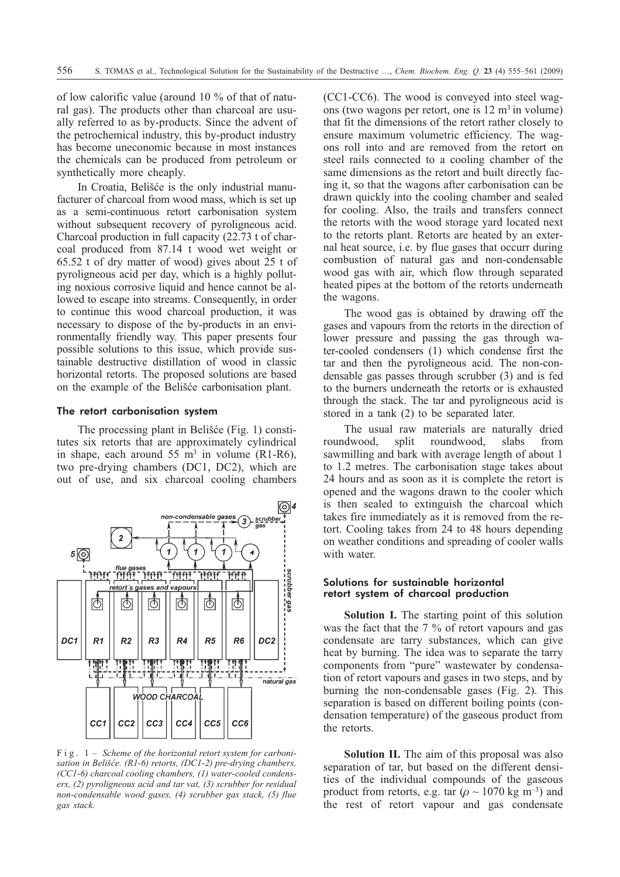of low calorific value (around 10% of that of natural gas). The products other than charcoal are usually referred to as by-products. Since the advent of the petrochemical industry, this by-product industry has become uneconomic because in most instances the chemicals can be produced from petroleum or synthetically more cheaply.

In Croatia, Belišće is the only industrial manufacturer of charcoal from wood mass, which is set up as a semi-continuous retort carbonisation system without subsequent recovery of pyroligneous acid. Charcoal production in full capacity (22.73 t of charcoal produced from 87.14 t wood wet weight or 65.52 t of dry matter of wood) gives about 25 t of pyroligneous acid per day, which is a highly polluting noxious corrosive liquid and hence cannot be allowed to escape into streams. Consequently, in order to continue this wood charcoal production, it was necessary to dispose of the by-products in an environmentally friendly way. This paper presents four possible solutions to this issue, which provide sustainable destructive distillation of wood in classic horizontal retorts. The proposed solutions are based on the example of the Belišæe carbonisation plant.

#### The retort carbonisation system

The processing plant in Belišće (Fig. 1) constitutes six retorts that are approximately cylindrical in shape, each around 55 m<sup>3</sup> in volume (R1-R6), two pre-drying chambers (DC1, DC2), which are out of use, and six charcoal cooling chambers



Fig. 1 – *Scheme of the horizontal retort system for carbonisation in Belišæe. (R1-6) retorts, (DC1-2) pre-drying chambers, (CC1-6) charcoal cooling chambers, (1) water-cooled condensers, (2) pyroligneous acid and tar vat, (3) scrubber for residual non-condensable wood gases, (4) scrubber gas stack, (5) flue gas stack.*

(CC1-CC6). The wood is conveyed into steel wagons (two wagons per retort, one is  $12 \text{ m}^3$  in volume) that fit the dimensions of the retort rather closely to ensure maximum volumetric efficiency. The wagons roll into and are removed from the retort on steel rails connected to a cooling chamber of the same dimensions as the retort and built directly facing it, so that the wagons after carbonisation can be drawn quickly into the cooling chamber and sealed for cooling. Also, the trails and transfers connect the retorts with the wood storage yard located next to the retorts plant. Retorts are heated by an external heat source, i.e. by flue gases that occurr during combustion of natural gas and non-condensable wood gas with air, which flow through separated heated pipes at the bottom of the retorts underneath the wagons.

The wood gas is obtained by drawing off the gases and vapours from the retorts in the direction of lower pressure and passing the gas through water-cooled condensers (1) which condense first the tar and then the pyroligneous acid. The non-condensable gas passes through scrubber (3) and is fed to the burners underneath the retorts or is exhausted through the stack. The tar and pyroligneous acid is stored in a tank (2) to be separated later.

The usual raw materials are naturally dried roundwood, split roundwood, slabs from sawmilling and bark with average length of about 1 to 1.2 metres. The carbonisation stage takes about 24 hours and as soon as it is complete the retort is opened and the wagons drawn to the cooler which is then sealed to extinguish the charcoal which takes fire immediately as it is removed from the retort. Cooling takes from 24 to 48 hours depending on weather conditions and spreading of cooler walls with water.

#### Solutions for sustainable horizontal retort system of charcoal production

**Solution I.** The starting point of this solution was the fact that the 7 % of retort vapours and gas condensate are tarry substances, which can give heat by burning. The idea was to separate the tarry components from "pure" wastewater by condensation of retort vapours and gases in two steps, and by burning the non-condensable gases (Fig. 2). This separation is based on different boiling points (condensation temperature) of the gaseous product from the retorts.

**Solution II.** The aim of this proposal was also separation of tar, but based on the different densities of the individual compounds of the gaseous product from retorts, e.g. tar ( $\rho \sim 1070$  kg m<sup>-3</sup>) and the rest of retort vapour and gas condensate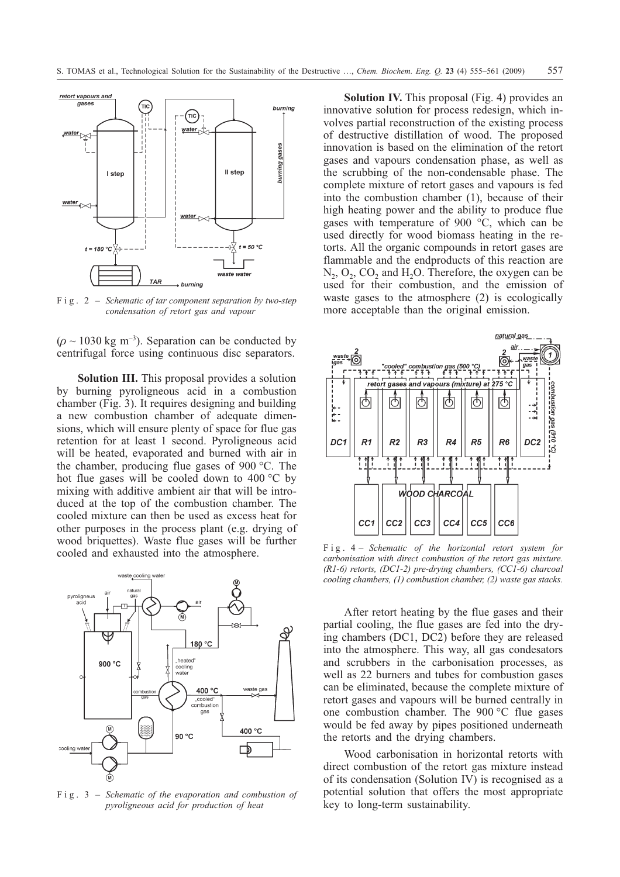

Fig. 2 – *Schematic of tar component separation by two-step condensation of retort gas and vapour*

( $\rho \sim 1030$  kg m<sup>-3</sup>). Separation can be conducted by centrifugal force using continuous disc separators.

**Solution III.** This proposal provides a solution by burning pyroligneous acid in a combustion chamber (Fig. 3). It requires designing and building a new combustion chamber of adequate dimensions, which will ensure plenty of space for flue gas retention for at least 1 second. Pyroligneous acid will be heated, evaporated and burned with air in the chamber, producing flue gases of 900 °C. The hot flue gases will be cooled down to 400 °C by mixing with additive ambient air that will be introduced at the top of the combustion chamber. The cooled mixture can then be used as excess heat for other purposes in the process plant (e.g. drying of wood briquettes). Waste flue gases will be further cooled and exhausted into the atmosphere.



Fig. 3 – *Schematic of the evaporation and combustion of pyroligneous acid for production of heat*

**Solution IV.** This proposal (Fig. 4) provides an innovative solution for process redesign, which involves partial reconstruction of the existing process of destructive distillation of wood. The proposed innovation is based on the elimination of the retort gases and vapours condensation phase, as well as the scrubbing of the non-condensable phase. The complete mixture of retort gases and vapours is fed into the combustion chamber (1), because of their high heating power and the ability to produce flue gases with temperature of 900 °C, which can be used directly for wood biomass heating in the retorts. All the organic compounds in retort gases are flammable and the endproducts of this reaction are  $N_2$ ,  $O_2$ ,  $CO_2$  and  $H_2O$ . Therefore, the oxygen can be used for their combustion, and the emission of waste gases to the atmosphere (2) is ecologically more acceptable than the original emission.



Fig. 4 – *Schematic of the horizontal retort system for carbonisation with direct combustion of the retort gas mixture. (R1-6) retorts, (DC1-2) pre-drying chambers, (CC1-6) charcoal cooling chambers, (1) combustion chamber, (2) waste gas stacks.*

After retort heating by the flue gases and their partial cooling, the flue gases are fed into the drying chambers (DC1, DC2) before they are released into the atmosphere. This way, all gas condesators and scrubbers in the carbonisation processes, as well as 22 burners and tubes for combustion gases can be eliminated, because the complete mixture of retort gases and vapours will be burned centrally in one combustion chamber. The 900 °C flue gases would be fed away by pipes positioned underneath the retorts and the drying chambers.

Wood carbonisation in horizontal retorts with direct combustion of the retort gas mixture instead of its condensation (Solution IV) is recognised as a potential solution that offers the most appropriate key to long-term sustainability.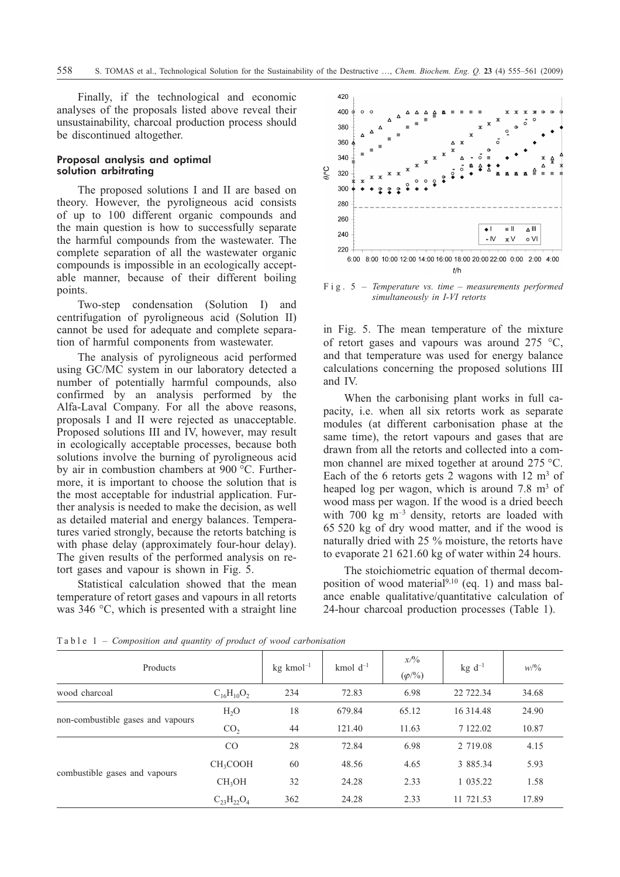Finally, if the technological and economic analyses of the proposals listed above reveal their unsustainability, charcoal production process should be discontinued altogether.

## Proposal analysis and optimal solution arbitrating

The proposed solutions I and II are based on theory. However, the pyroligneous acid consists of up to 100 different organic compounds and the main question is how to successfully separate the harmful compounds from the wastewater. The complete separation of all the wastewater organic compounds is impossible in an ecologically acceptable manner, because of their different boiling points.

Two-step condensation (Solution I) and centrifugation of pyroligneous acid (Solution II) cannot be used for adequate and complete separation of harmful components from wastewater.

The analysis of pyroligneous acid performed using GC/MC system in our laboratory detected a number of potentially harmful compounds, also confirmed by an analysis performed by the Alfa-Laval Company. For all the above reasons, proposals I and II were rejected as unacceptable. Proposed solutions III and IV, however, may result in ecologically acceptable processes, because both solutions involve the burning of pyroligneous acid by air in combustion chambers at 900 °C. Furthermore, it is important to choose the solution that is the most acceptable for industrial application. Further analysis is needed to make the decision, as well as detailed material and energy balances. Temperatures varied strongly, because the retorts batching is with phase delay (approximately four-hour delay). The given results of the performed analysis on retort gases and vapour is shown in Fig. 5.

Statistical calculation showed that the mean temperature of retort gases and vapours in all retorts was 346 °C, which is presented with a straight line



Fig. 5 – *Temperature vs. time – measurements performed simultaneously in I-VI retorts*

in Fig. 5. The mean temperature of the mixture of retort gases and vapours was around 275 °C, and that temperature was used for energy balance calculations concerning the proposed solutions III and IV.

When the carbonising plant works in full capacity, i.e. when all six retorts work as separate modules (at different carbonisation phase at the same time), the retort vapours and gases that are drawn from all the retorts and collected into a common channel are mixed together at around 275 °C. Each of the 6 retorts gets 2 wagons with  $12 \text{ m}^3$  of heaped log per wagon, which is around  $7.8 \text{ m}^3$  of wood mass per wagon. If the wood is a dried beech with 700 kg m<sup>-3</sup> density, retorts are loaded with 65 520kg of dry wood matter, and if the wood is naturally dried with 25 % moisture, the retorts have to evaporate 21 621.60 kg of water within 24 hours.

The stoichiometric equation of thermal decomposition of wood material $^{9,10}$  (eq. 1) and mass balance enable qualitative/quantitative calculation of 24-hour charcoal production processes (Table 1).

| Products                          |                      | $kg$ kmol <sup>-1</sup> | kmol $d^{-1}$ | x/9/6<br>$(\varphi^{/0}/_{0})$ | $kg d^{-1}$ | W/6   |
|-----------------------------------|----------------------|-------------------------|---------------|--------------------------------|-------------|-------|
| wood charcoal                     | $C_{16}H_{10}O_2$    | 234                     | 72.83         | 6.98                           | 22 722.34   | 34.68 |
| non-combustible gases and vapours | $H_2O$               | 18                      | 679.84        | 65.12                          | 16 3 14.48  | 24.90 |
|                                   | CO <sub>2</sub>      | 44                      | 121.40        | 11.63                          | 7 122.02    | 10.87 |
| combustible gases and vapours     | CO                   | 28                      | 72.84         | 6.98                           | 2 719.08    | 4.15  |
|                                   | CH <sub>3</sub> COOH | 60                      | 48.56         | 4.65                           | 3 885.34    | 5.93  |
|                                   | CH <sub>3</sub> OH   | 32                      | 24.28         | 2.33                           | 1 035.22    | 1.58  |
|                                   | $C_{23}H_{22}O_4$    | 362                     | 24.28         | 2.33                           | 11 721.53   | 17.89 |

Table 1 – *Composition and quantity of product of wood carbonisation*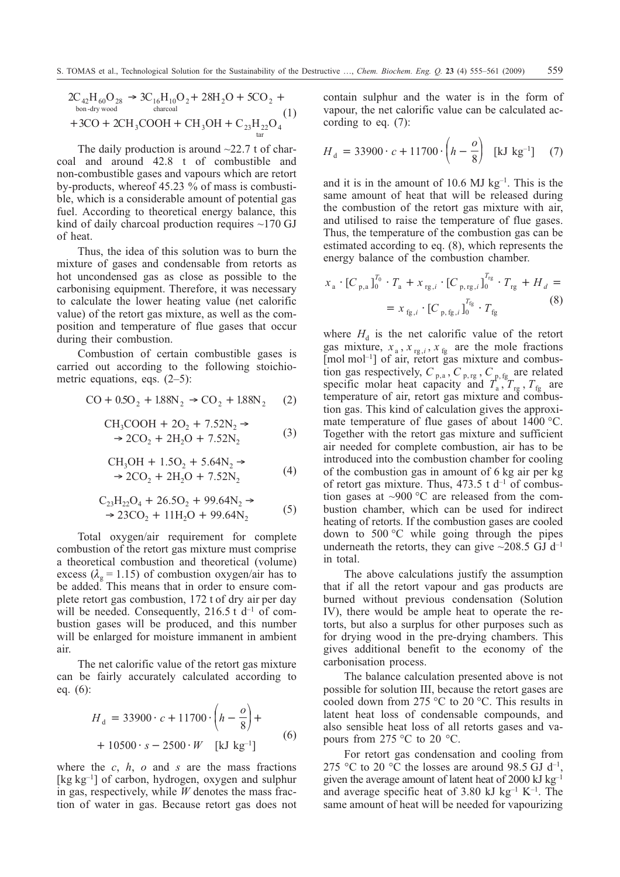$$
2C_{42}H_{60}O_{28} \rightarrow 3C_{16}H_{10}O_2 + 28H_2O + 5CO_2 +
$$
  
bon-dry wood  
+3CO + 2CH<sub>3</sub>COOH + CH<sub>3</sub>OH + C<sub>23</sub>H<sub>22</sub>O<sub>4</sub> (1)

The daily production is around  $\sim$ 22.7 t of charcoal and around 42.8 t of combustible and non-combustible gases and vapours which are retort by-products, whereof 45.23 % of mass is combustible, which is a considerable amount of potential gas fuel. According to theoretical energy balance, this kind of daily charcoal production requires  $\sim$ 170 GJ of heat.

Thus, the idea of this solution was to burn the mixture of gases and condensable from retorts as hot uncondensed gas as close as possible to the carbonising equipment. Therefore, it was necessary to calculate the lower heating value (net calorific value) of the retort gas mixture, as well as the composition and temperature of flue gases that occur during their combustion.

Combustion of certain combustible gases is carried out according to the following stoichiometric equations, eqs. (2–5):

$$
CO + 0.5O_2 + 1.88N_2 \rightarrow CO_2 + 1.88N_2 \quad (2)
$$

$$
CH3COOH + 2O2 + 7.52N2 →\n→ 2CO2 + 2H2O + 7.52N2
$$
\n(3)

$$
CH3OH + 1.5O2 + 5.64N2 →\n→ 2CO2 + 2H2O + 7.52N2
$$
\n(4)

$$
C_{23}H_{22}O_4 + 26.5O_2 + 99.64N_2 \rightarrow
$$
  
\n
$$
\rightarrow 23CO_2 + 11H_2O + 99.64N_2
$$
 (5)

Total oxygen/air requirement for complete combustion of the retort gas mixture must comprise a theoretical combustion and theoretical (volume) excess ( $\lambda_{\rm o}$  = 1.15) of combustion oxygen/air has to be added. This means that in order to ensure complete retort gas combustion, 172 t of dry air per day will be needed. Consequently,  $216.5$  t d<sup>-1</sup> of combustion gases will be produced, and this number will be enlarged for moisture immanent in ambient air.

The net calorific value of the retort gas mixture can be fairly accurately calculated according to eq. (6):

$$
H_{d} = 33900 \cdot c + 11700 \cdot \left(h - \frac{o}{8}\right) +
$$
  
+ 10500 \cdot s - 2500 \cdot W [kJ kg<sup>-1</sup>] (6)

where the *c*, *h*, *o* and *s* are the mass fractions [kg kg<sup>-1</sup>] of carbon, hydrogen, oxygen and sulphur in gas, respectively, while *W* denotes the mass fraction of water in gas. Because retort gas does not contain sulphur and the water is in the form of vapour, the net calorific value can be calculated according to eq. (7):

$$
H_{\rm d} = 33900 \cdot c + 11700 \cdot \left(h - \frac{o}{8}\right) \text{ [kJ kg}^{-1}] \quad (7)
$$

and it is in the amount of 10.6 MJ  $kg^{-1}$ . This is the same amount of heat that will be released during the combustion of the retort gas mixture with air, and utilised to raise the temperature of flue gases. Thus, the temperature of the combustion gas can be estimated according to eq. (8), which represents the energy balance of the combustion chamber.

$$
x_{a} \cdot [C_{p,a}]_{0}^{T_{0}} \cdot T_{a} + x_{rg,i} \cdot [C_{p,rg,i}]_{0}^{T_{rg}} \cdot T_{rg} + H_{d} =
$$
  

$$
= x_{fg,i} \cdot [C_{p,fg,i}]_{0}^{T_{fg}} \cdot T_{fg}
$$
 (8)

where  $H_d$  is the net calorific value of the retort gas mixture,  $x_a$ ,  $x_{rg,i}$ ,  $x_{fg}$  are the mole fractions [mol mol<sup>-1</sup>] of air, retort gas mixture and combustion gas respectively,  $C_{p,a}$ ,  $C_{p,rg}$ ,  $C_{p,fg}$  are related specific molar heat capacity and  $T_a$ ,  $T_{rg}$ ,  $T_{fg}$  are temperature of air, retort gas mixture and combustion gas. This kind of calculation gives the approximate temperature of flue gases of about 1400 °C. Together with the retort gas mixture and sufficient air needed for complete combustion, air has to be introduced into the combustion chamber for cooling of the combustion gas in amount of 6 kg air per kg of retort gas mixture. Thus,  $473.5$  t d<sup>-1</sup> of combustion gases at ~900 °C are released from the combustion chamber, which can be used for indirect heating of retorts. If the combustion gases are cooled down to 500 °C while going through the pipes underneath the retorts, they can give  $\sim$ 208.5 GJ d<sup>-1</sup> in total.

The above calculations justify the assumption that if all the retort vapour and gas products are burned without previous condensation (Solution IV), there would be ample heat to operate the retorts, but also a surplus for other purposes such as for drying wood in the pre-drying chambers. This gives additional benefit to the economy of the carbonisation process.

The balance calculation presented above is not possible for solution III, because the retort gases are cooled down from 275 °C to 20°C. This results in latent heat loss of condensable compounds, and also sensible heat loss of all retorts gases and vapours from 275 °C to 20°C.

For retort gas condensation and cooling from 275 °C to 20 °C the losses are around 98.5 GJ  $d^{-1}$ , given the average amount of latent heat of 2000 kJ kg $^{-1}$ and average specific heat of 3.80 kJ kg<sup>-1</sup> K<sup>-1</sup>. The same amount of heat will be needed for vapourizing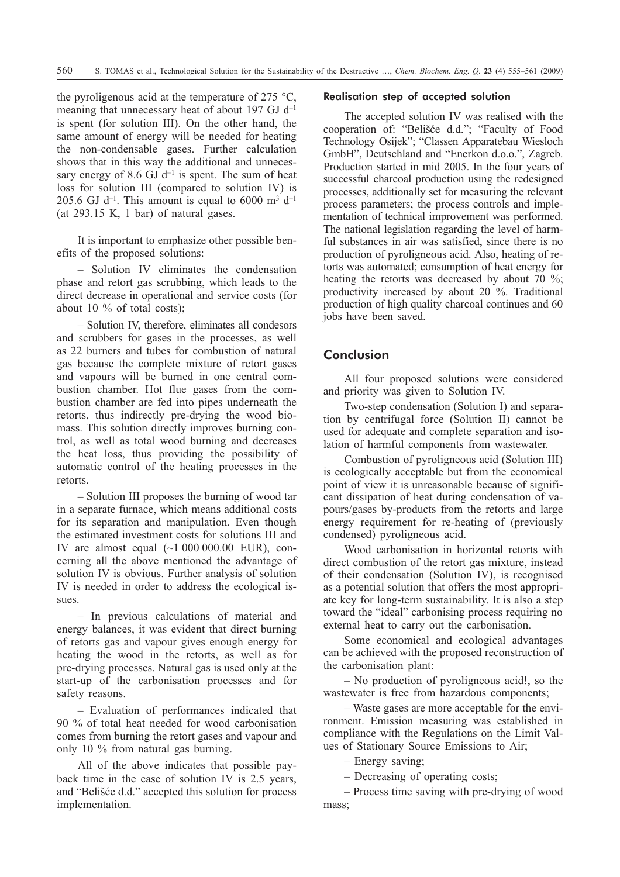the pyroligenous acid at the temperature of 275  $\degree$ C, meaning that unnecessary heat of about 197 GJ d<sup>-1</sup> is spent (for solution III). On the other hand, the same amount of energy will be needed for heating the non-condensable gases. Further calculation shows that in this way the additional and unnecessary energy of 8.6 GJ  $d^{-1}$  is spent. The sum of heat loss for solution III (compared to solution IV) is 205.6 GJ  $d^{-1}$ . This amount is equal to 6000 m<sup>3</sup>  $d^{-1}$ (at 293.15 K, 1 bar) of natural gases.

It is important to emphasize other possible benefits of the proposed solutions:

– Solution IV eliminates the condensation phase and retort gas scrubbing, which leads to the direct decrease in operational and service costs (for about 10  $\%$  of total costs);

– Solution IV, therefore, eliminates all condesors and scrubbers for gases in the processes, as well as 22 burners and tubes for combustion of natural gas because the complete mixture of retort gases and vapours will be burned in one central combustion chamber. Hot flue gases from the combustion chamber are fed into pipes underneath the retorts, thus indirectly pre-drying the wood biomass. This solution directly improves burning control, as well as total wood burning and decreases the heat loss, thus providing the possibility of automatic control of the heating processes in the retorts.

– Solution III proposes the burning of wood tar in a separate furnace, which means additional costs for its separation and manipulation. Even though the estimated investment costs for solutions III and IV are almost equal  $\sim$ 1 000 000.00 EUR), concerning all the above mentioned the advantage of solution IV is obvious. Further analysis of solution IV is needed in order to address the ecological issues.

– In previous calculations of material and energy balances, it was evident that direct burning of retorts gas and vapour gives enough energy for heating the wood in the retorts, as well as for pre-drying processes. Natural gas is used only at the start-up of the carbonisation processes and for safety reasons.

– Evaluation of performances indicated that 90% of total heat needed for wood carbonisation comes from burning the retort gases and vapour and only 10% from natural gas burning.

All of the above indicates that possible payback time in the case of solution IV is 2.5 years, and "Belišæe d.d." accepted this solution for process implementation.

#### Realisation step of accepted solution

The accepted solution IV was realised with the cooperation of: "Belišæe d.d."; "Faculty of Food Technology Osijek"; "Classen Apparatebau Wiesloch GmbH", Deutschland and "Enerkon d.o.o.", Zagreb. Production started in mid 2005. In the four years of successful charcoal production using the redesigned processes, additionally set for measuring the relevant process parameters; the process controls and implementation of technical improvement was performed. The national legislation regarding the level of harmful substances in air was satisfied, since there is no production of pyroligneous acid. Also, heating of retorts was automated; consumption of heat energy for heating the retorts was decreased by about 70 %; productivity increased by about 20%. Traditional production of high quality charcoal continues and 60 jobs have been saved.

# **Conclusion**

All four proposed solutions were considered and priority was given to Solution IV.

Two-step condensation (Solution I) and separation by centrifugal force (Solution II) cannot be used for adequate and complete separation and isolation of harmful components from wastewater.

Combustion of pyroligneous acid (Solution III) is ecologically acceptable but from the economical point of view it is unreasonable because of significant dissipation of heat during condensation of vapours/gases by-products from the retorts and large energy requirement for re-heating of (previously condensed) pyroligneous acid.

Wood carbonisation in horizontal retorts with direct combustion of the retort gas mixture, instead of their condensation (Solution IV), is recognised as a potential solution that offers the most appropriate key for long-term sustainability. It is also a step toward the "ideal" carbonising process requiring no external heat to carry out the carbonisation.

Some economical and ecological advantages can be achieved with the proposed reconstruction of the carbonisation plant:

– No production of pyroligneous acid!, so the wastewater is free from hazardous components;

– Waste gases are more acceptable for the environment. Emission measuring was established in compliance with the Regulations on the Limit Values of Stationary Source Emissions to Air;

– Energy saving;

– Decreasing of operating costs;

– Process time saving with pre-drying of wood mass;